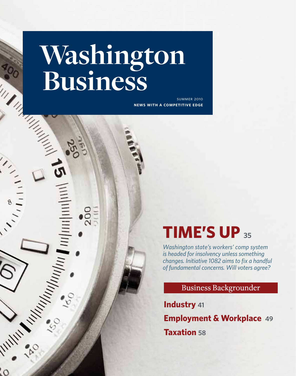# Washington Business Antinguista

111 HIII 1111

 $(1,1)$ 

**A MINTER CONTRACTOR** 

 $\Omega$ 

**news with a competitive edge** summer 2010

# **TIME'S UP <sup>35</sup>**

*Washington state's workers' comp system is headed for insolvency unless something changes. Initiative 1082 aims to fix a handful of fundamental concerns. Will voters agree?*

Business Backgrounder

**Industry 41 Employment & Workplace 49 Taxation 58**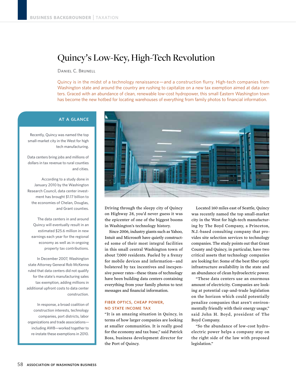# Quincy's Low-Key, High-Tech Revolution

Daniel C. Brunell

Quincy is in the midst of a technology renaissance—and a construction flurry. High-tech companies from Washington state and around the country are rushing to capitalize on a new tax exemption aimed at data centers. Graced with an abundance of clean, renewable low-cost hydropower, this small Eastern Washington town has become the new hotbed for locating warehouses of everything from family photos to financial information.

# **AT A GLANCE**

Recently, Quincy was named the top small-market city in the West for high tech manufacturing.

Data centers bring jobs and millions of dollars in tax revenue to rural counties and cities.

According to a study done in January 2010 by the Washington Research Council, data center investment has brought \$1.17 billion to the economies of Chelan, Douglas, and Grant counties.

The data centers in and around Quincy will eventually result in an estimated \$25.6 million in new earnings each year for the regional economy as well as in ongoing property tax contributions.

In December 2007, Washington state Attorney General Rob McKenna ruled that data centers did not qualify for the state's manufacturing sales tax exemption, adding millions in additional upfront costs to data center construction.

In response, a broad coalition of construction interests, technology companies, port districts, labor organizations and trade associations including AWB—worked together to re-instate these exemptions in 2010.



Driving through the sleepy city of Quincy on Highway 28, you'd never guess it was the epicenter of one of the biggest booms in Washington's technology history.

 Since 2006, industry giants such as Yahoo, Intuit and Microsoft have quietly constructed some of their most integral facilities in this small central Washington town of about 7,000 residents. Fueled by a frenzy for mobile devices and information—and bolstered by tax incentives and inexpensive power rates—these titans of technology have been building data centers containing everything from your family photos to text messages and financial information.

# fiber optics, cheap power, no state income tax

"It is an amazing situation in Quincy, in terms of how larger companies are looking at smaller communities. It is really good for the economy and tax base," said Patrick Boss, business development director for the Port of Quincy.

 Located 160 miles east of Seattle, Quincy was recently named the top small-market city in the West for high-tech manufacturing by The Boyd Company, a Princeton, N.J.-based consulting company that provides site selection services to technology companies. The study points out that Grant County and Quincy, in particular, have two critical assets that technology companies are looking for: Some of the best fiber optic infrastructure availability in the state and an abundance of clean hydroelectric power.

 "These data centers use an enormous amount of electricity. Companies are looking at potential cap-and-trade legislation on the horizon which could potentially penalize companies that aren't environmentally friendly with their energy usage," said John H. Boyd, president of The Boyd Company.

 "So the abundance of low-cost hydroelectric power helps a company stay on the right side of the law with proposed legislation."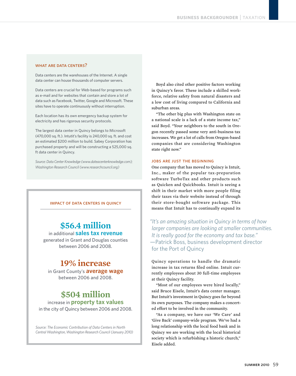## WHAT ARE DATA CENTERS?

Data centers are the warehouses of the Internet. A single data center can house thousands of computer servers.

Data centers are crucial for Web-based for programs such as e-mail and for websites that contain and store a lot of data such as Facebook, Twitter, Google and Microsoft. These sites have to operate continuously without interruption.

Each location has its own emergency backup system for electricity and has rigorous security protocols.

The largest data center in Quincy belongs to Microsoft (470,000 sq. ft.). Intutit's facility is 240,000 sq. ft. and cost an estimated \$200 million to build. Sabey Corporation has purchased property and will be constructing a 525,000 sq. ft data center in Quincy.

*Source: Data Center Knowledge (www.dateacenterknowledge.com); Washington Research Council (www.researchcouncil.org)*

#### impact of data centers in quincy

# **\$56.4 million** in additional **sales tax revenue**

generated in Grant and Douglas counties between 2006 and 2008.

# **19% increase**

in Grant County's **average wage** between 2006 and 2008.

# **\$504 million**

increase in **property tax values** in the city of Quincy between 2006 and 2008.

*Source: The Economic Contribution of Data Centers in North Central Washington, Washington Research Council (January 2010)* 

 Boyd also cited other positive factors working in Quincy's favor. These include a skilled workforce, relative safety from natural disasters and a low cost of living compared to California and suburban areas.

 "The other big plus with Washington state on a national scale is a lack of a state income tax," said Boyd. "Your neighbors to the south in Oregon recently passed some very anti-business tax increases. We get a lot of calls from Oregon-based companies that are considering Washington state right now."

### jobs are just the beginning

One company that has moved to Quincy is Intuit, Inc., maker of the popular tax-preparation software TurboTax and other products such as Quicken and Quickbooks. Intuit is seeing a shift in their market with more people filing their taxes via their website instead of through their store-bought software package. This means that Intuit has to continually expand its

*"It's an amazing situation in Quincy in terms of how larger companies are looking at smaller communities. It is really good for the economy and tax base."*  —Patrick Boss, business development director for the Port of Quincy

Quincy operations to handle the dramatic increase in tax returns filed online. Intuit currently employees about 30 full-time employees at their Quincy facility.

 "Most of our employees were hired locally," said Bruce Eisele, Intuit's data center manager. But Intuit's investment in Quincy goes far beyond its own purposes. The company makes a concerted effort to be involved in the community.

 "As a company, we have our 'We Care' and 'Give Back' company-wide program. We've had a long relationship with the local food bank and in Quincy we are working with the local historical society which is refurbishing a historic church," Eisele added.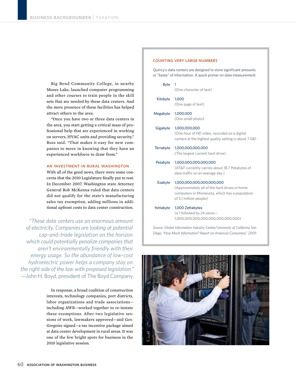Big Bend Community College, in nearby Moses Lake, launched computer programming and other courses to train people in the skill sets that are needed by these data centers. And the mere presence of these facilities has helped attract others to the area.

 "Once you have two or three data centers in the area, you start getting a critical mass of professional help that are experienced in working on servers, HVAC units and providing security," Boss said. "That makes it easy for new companies to move in knowing that they have an experienced workforce to draw from."

#### an investment in rural washington

With all of the good news, there were some concerns that the 2010 Legislature finally put to rest. In December 2007, Washington state Attorney General Rob McKenna ruled that data centers did not qualify for the state's manufacturing sales tax exemption, adding millions in additional upfront costs to data center construction.

*"These data centers use an enormous amount of electricity. Companies are looking at potential cap-and-trade legislation on the horizon which could potentially penalize companies that aren't environmentally friendly with their energy usage. So the abundance of low-cost hydroelectric power helps a company stay on the right side of the law with proposed legislation."*  —John H. Boyd, president of The Boyd Company

> In response, a broad coalition of construction interests, technology companies, port districts, labor organizations and trade associations including AWB—worked together to re-instate these exemptions. After two legislative sessions of work, lawmakers approved—and Gov. Gregoire signed—a tax incentive package aimed at data center development in rural areas. It was one of the few bright spots for business in the 2010 legislative session.

#### counting very large numbers

Quincy's data centers are designed to store significant amounts or "bytes" of information. A quick primer on data measurement:

| <b>Byte</b> | 1<br>(One character of text)                                                                                                                           |
|-------------|--------------------------------------------------------------------------------------------------------------------------------------------------------|
| Kilobyte    | 1,000<br>(One page of text)                                                                                                                            |
| Megabyte    | 1,000,000<br>(One small photo)                                                                                                                         |
| Gigabyte    | 1,000,000,000<br>(One hour of HD video, recorded on a digital<br>camera at the highest quality setting is about 7 GB)                                  |
| Terrabyte   | 1,000,000,000,000<br>(The largest current hard drive)                                                                                                  |
| Petabyte    | 1,000,000,000,000,000<br>(AT&T currently carries about 18.7 Petabytes of<br>data traffic on an average day.)                                           |
| Exabyte     | 1,000,000,000,000,000,000<br>(Approximately all of the hard drives in home<br>computers in Minnesota, which has a population<br>of 5.1 million people) |
| Yottabyte   | 1,000 Zettabytes<br>(a 1 followed by 24 zeros-<br>1,000,000,000,000,000,000,000,000)                                                                   |

*Source: Global Information Industry Center/University of California San Diego, "How Much Information? Report on American Consumers," 2009*